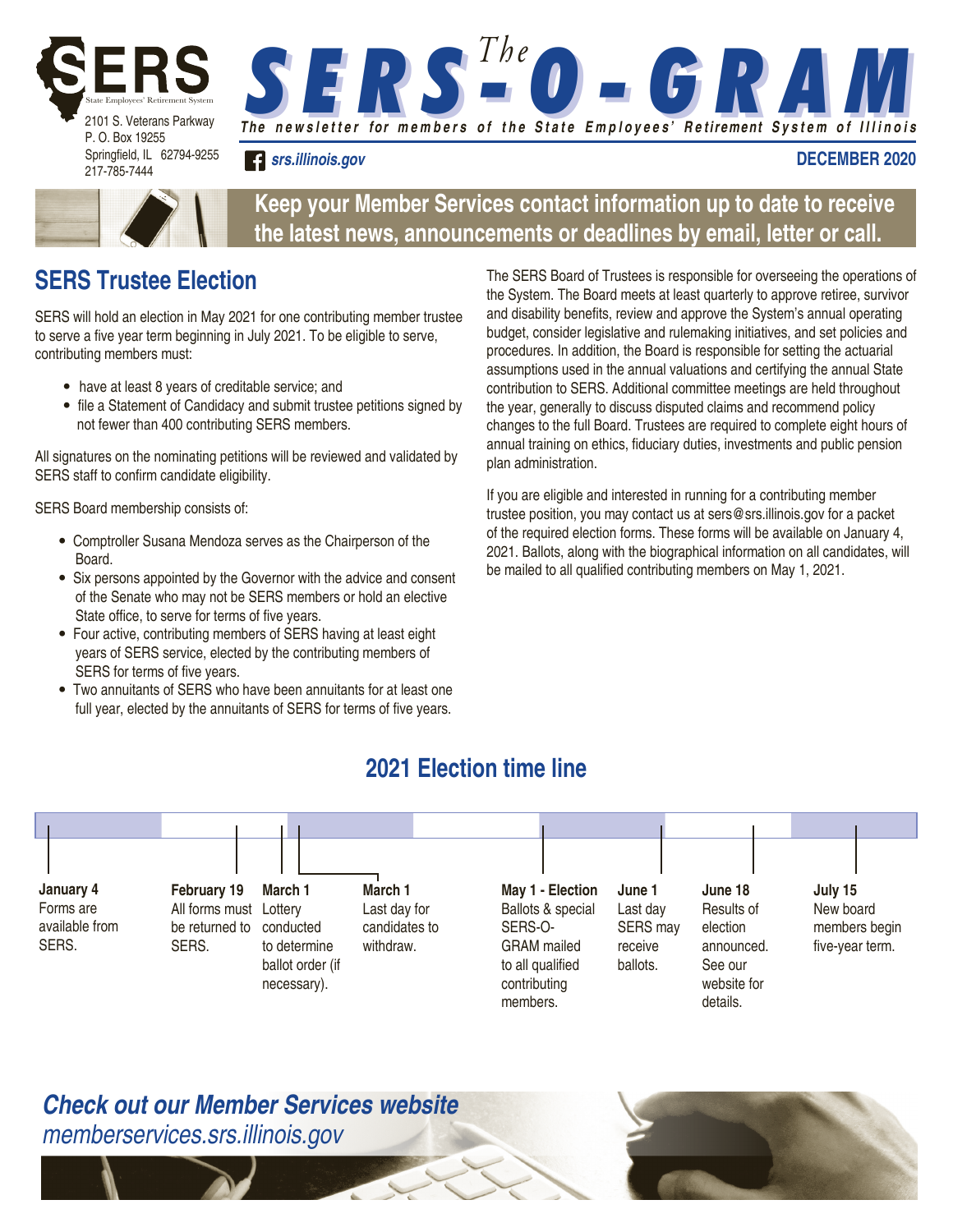

 $S$  **E R S**  $\overset{\text{The number of the number of the 10000} }$  **be**  $\overset{\text{The number of the 2000} }{\text{The number of 10000} }$ 

*srs.illinois.gov*

#### **December 2020**



#### **Keep your Member Services contact information up to date to receive the latest news, announcements or deadlines by email, letter or call.**

#### **SERS Trustee Election**

SERS will hold an election in May 2021 for one contributing member trustee to serve a five year term beginning in July 2021. To be eligible to serve, contributing members must:

- have at least 8 years of creditable service; and
- file a Statement of Candidacy and submit trustee petitions signed by not fewer than 400 contributing SERS members.

All signatures on the nominating petitions will be reviewed and validated by SERS staff to confirm candidate eligibility.

SERS Board membership consists of:

- Comptroller Susana Mendoza serves as the Chairperson of the Board.
- Six persons appointed by the Governor with the advice and consent of the Senate who may not be SERS members or hold an elective State office, to serve for terms of five years.
- Four active, contributing members of SERS having at least eight years of SERS service, elected by the contributing members of SERS for terms of five years.
- Two annuitants of SERS who have been annuitants for at least one full year, elected by the annuitants of SERS for terms of five years.

The SERS Board of Trustees is responsible for overseeing the operations of the System. The Board meets at least quarterly to approve retiree, survivor and disability benefits, review and approve the System's annual operating budget, consider legislative and rulemaking initiatives, and set policies and procedures. In addition, the Board is responsible for setting the actuarial assumptions used in the annual valuations and certifying the annual State contribution to SERS. Additional committee meetings are held throughout the year, generally to discuss disputed claims and recommend policy changes to the full Board. Trustees are required to complete eight hours of annual training on ethics, fiduciary duties, investments and public pension plan administration.

If you are eligible and interested in running for a contributing member trustee position, you may contact us at sers@srs.illinois.gov for a packet of the required election forms. These forms will be available on January 4, 2021. Ballots, along with the biographical information on all candidates, will be mailed to all qualified contributing members on May 1, 2021.

#### **2021 Election time line**



*Check out our Member Services website memberservices.srs.illinois.gov*